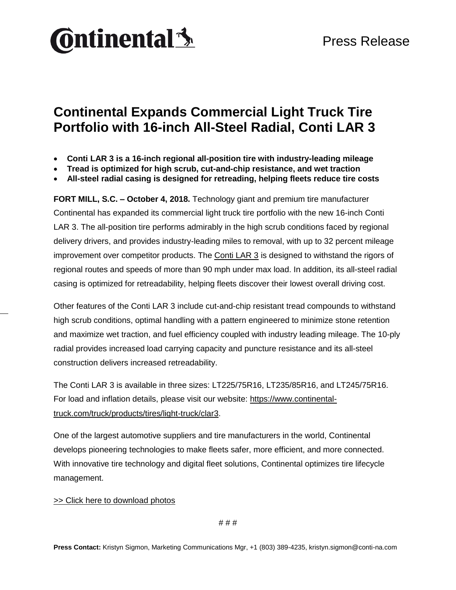

## **Continental Expands Commercial Light Truck Tire Portfolio with 16-inch All-Steel Radial, Conti LAR 3**

- **Conti LAR 3 is a 16-inch regional all-position tire with industry-leading mileage**
- **Tread is optimized for high scrub, cut-and-chip resistance, and wet traction**
- **All-steel radial casing is designed for retreading, helping fleets reduce tire costs**

**FORT MILL, S.C. – October 4, 2018.** Technology giant and premium tire manufacturer Continental has expanded its commercial light truck tire portfolio with the new 16-inch Conti LAR 3. The all-position tire performs admirably in the high scrub conditions faced by regional delivery drivers, and provides industry-leading miles to removal, with up to 32 percent mileage improvement over competitor products. The [Conti LAR 3](https://www.continental-truck.com/truck/products/tires/light-truck/clar3) is designed to withstand the rigors of regional routes and speeds of more than 90 mph under max load. In addition, its all-steel radial casing is optimized for retreadability, helping fleets discover their lowest overall driving cost.

Other features of the Conti LAR 3 include cut-and-chip resistant tread compounds to withstand high scrub conditions, optimal handling with a pattern engineered to minimize stone retention and maximize wet traction, and fuel efficiency coupled with industry leading mileage. The 10-ply radial provides increased load carrying capacity and puncture resistance and its all-steel construction delivers increased retreadability.

The Conti LAR 3 is available in three sizes: LT225/75R16, LT235/85R16, and LT245/75R16. For load and inflation details, please visit our website: [https://www.continental](https://www.continental-truck.com/truck/products/tires/light-truck/clar3)[truck.com/truck/products/tires/light-truck/clar3.](https://www.continental-truck.com/truck/products/tires/light-truck/clar3)

One of the largest automotive suppliers and tire manufacturers in the world, Continental develops pioneering technologies to make fleets safer, more efficient, and more connected. With innovative tire technology and digital fleet solutions, Continental optimizes tire lifecycle management.

## [>> Click here to download photos](https://conti-na.sharefile.com/d-s422833536d241a89)

# # #